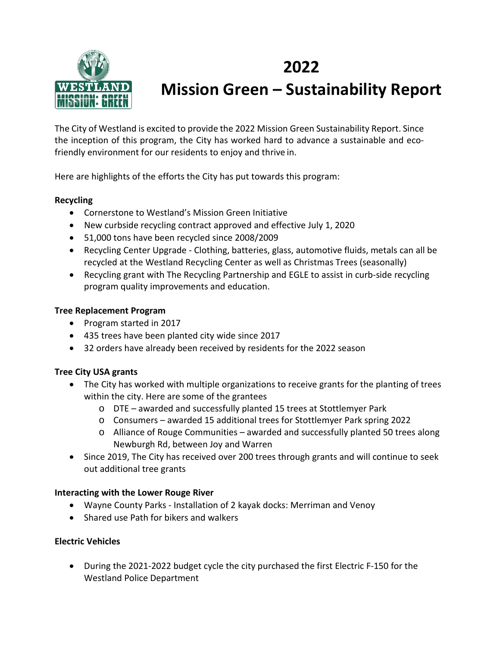

# **2022 Mission Green – Sustainability Report**

The City of Westland is excited to provide the 2022 Mission Green Sustainability Report. Since the inception of this program, the City has worked hard to advance a sustainable and ecofriendly environment for our residents to enjoy and thrive in.

Here are highlights of the efforts the City has put towards this program:

## **Recycling**

- Cornerstone to Westland's Mission Green Initiative
- New curbside recycling contract approved and effective July 1, 2020
- 51,000 tons have been recycled since 2008/2009
- Recycling Center Upgrade Clothing, batteries, glass, automotive fluids, metals can all be recycled at the Westland Recycling Center as well as Christmas Trees (seasonally)
- Recycling grant with The Recycling Partnership and EGLE to assist in curb-side recycling program quality improvements and education.

#### **Tree Replacement Program**

- Program started in 2017
- 435 trees have been planted city wide since 2017
- 32 orders have already been received by residents for the 2022 season

## **Tree City USA grants**

- The City has worked with multiple organizations to receive grants for the planting of trees within the city. Here are some of the grantees
	- o DTE awarded and successfully planted 15 trees at Stottlemyer Park
	- o Consumers awarded 15 additional trees for Stottlemyer Park spring 2022
	- o Alliance of Rouge Communities awarded and successfully planted 50 trees along Newburgh Rd, between Joy and Warren
- Since 2019, The City has received over 200 trees through grants and will continue to seek out additional tree grants

## **Interacting with the Lower Rouge River**

- Wayne County Parks Installation of 2 kayak docks: Merriman and Venoy
- Shared use Path for bikers and walkers

## **Electric Vehicles**

• During the 2021-2022 budget cycle the city purchased the first Electric F-150 for the Westland Police Department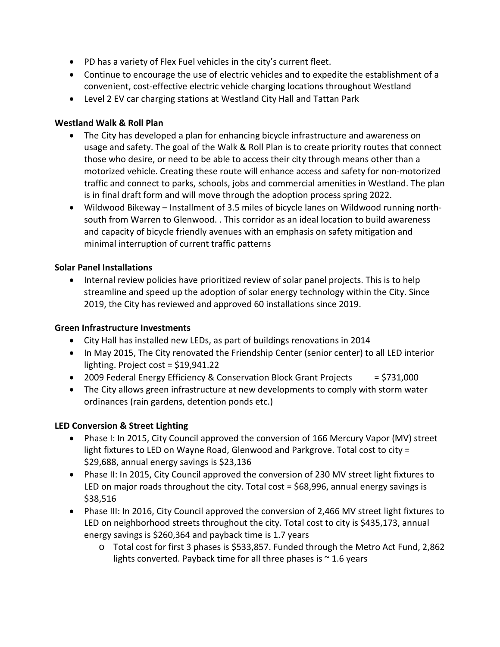- PD has a variety of Flex Fuel vehicles in the city's current fleet.
- Continue to encourage the use of electric vehicles and to expedite the establishment of a convenient, cost-effective electric vehicle charging locations throughout Westland
- Level 2 EV car charging stations at Westland City Hall and Tattan Park

## **Westland Walk & Roll Plan**

- The City has developed a plan for enhancing bicycle infrastructure and awareness on usage and safety. The goal of the Walk & Roll Plan is to create priority routes that connect those who desire, or need to be able to access their city through means other than a motorized vehicle. Creating these route will enhance access and safety for non-motorized traffic and connect to parks, schools, jobs and commercial amenities in Westland. The plan is in final draft form and will move through the adoption process spring 2022.
- Wildwood Bikeway Installment of 3.5 miles of bicycle lanes on Wildwood running northsouth from Warren to Glenwood. . This corridor as an ideal location to build awareness and capacity of bicycle friendly avenues with an emphasis on safety mitigation and minimal interruption of current traffic patterns

## **Solar Panel Installations**

• Internal review policies have prioritized review of solar panel projects. This is to help streamline and speed up the adoption of solar energy technology within the City. Since 2019, the City has reviewed and approved 60 installations since 2019.

#### **Green Infrastructure Investments**

- City Hall has installed new LEDs, as part of buildings renovations in 2014
- In May 2015, The City renovated the Friendship Center (senior center) to all LED interior lighting. Project cost = \$19,941.22
- 2009 Federal Energy Efficiency & Conservation Block Grant Projects  $= $731,000$
- The City allows green infrastructure at new developments to comply with storm water ordinances (rain gardens, detention ponds etc.)

## **LED Conversion & Street Lighting**

- Phase I: In 2015, City Council approved the conversion of 166 Mercury Vapor (MV) street light fixtures to LED on Wayne Road, Glenwood and Parkgrove. Total cost to city = \$29,688, annual energy savings is \$23,136
- Phase II: In 2015, City Council approved the conversion of 230 MV street light fixtures to LED on major roads throughout the city. Total cost = \$68,996, annual energy savings is \$38,516
- Phase III: In 2016, City Council approved the conversion of 2,466 MV street light fixtures to LED on neighborhood streets throughout the city. Total cost to city is \$435,173, annual energy savings is \$260,364 and payback time is 1.7 years
	- o Total cost for first 3 phases is \$533,857. Funded through the Metro Act Fund, 2,862 lights converted. Payback time for all three phases is  $\sim$  1.6 years